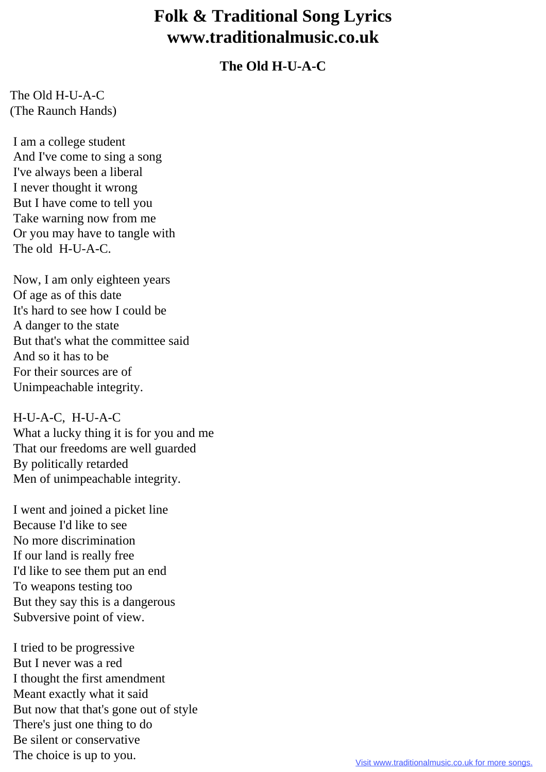## **Folk & Traditional Song Lyrics www.traditionalmusic.co.uk**

## **The Old H-U-A-C**

The Old H-U-A-C (The Raunch Hands)

 I am a college student And I've come to sing a song I've always been a liberal I never thought it wrong But I have come to tell you Take warning now from me Or you may have to tangle with The old H-U-A-C.

 Now, I am only eighteen years Of age as of this date It's hard to see how I could be A danger to the state But that's what the committee said And so it has to be For their sources are of Unimpeachable integrity.

 H-U-A-C, H-U-A-C What a lucky thing it is for you and me That our freedoms are well guarded By politically retarded Men of unimpeachable integrity.

 I went and joined a picket line Because I'd like to see No more discrimination If our land is really free I'd like to see them put an end To weapons testing too But they say this is a dangerous Subversive point of view.

 I tried to be progressive But I never was a red I thought the first amendment Meant exactly what it said But now that that's gone out of style There's just one thing to do Be silent or conservative The choice is up to you.